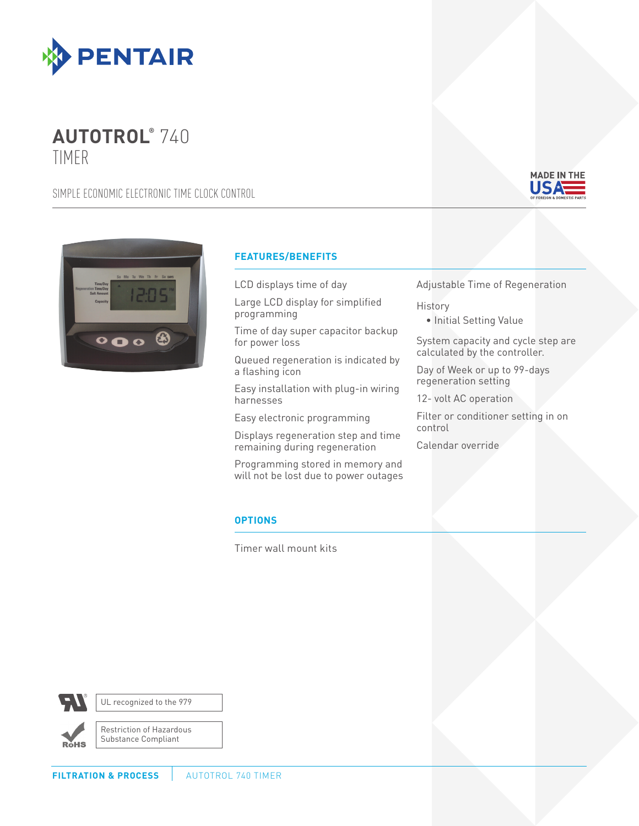

# $AUTOTROL<sup>o</sup> 740$ TIMER

SIMPLE ECONOMIC ELECTRONIC TIME CLOCK CONTROL





## **FEATURES/BENEFITS**

LCD displays time of day

Large LCD display for simplified programming

Time of day super capacitor backup for power loss

Queued regeneration is indicated by a flashing icon

Easy installation with plug-in wiring harnesses

Easy electronic programming

Displays regeneration step and time remaining during regeneration

Programming stored in memory and will not be lost due to power outages Adjustable Time of Regeneration

### **History**

• Initial Setting Value

System capacity and cycle step are calculated by the controller.

Day of Week or up to 99-days regeneration setting

12- volt AC operation

Filter or conditioner setting in on control

Calendar override

## **OPTIONS**

Timer wall mount kits



UL recognized to the 979

**RoHS** 

Restriction of Hazardous Substance Compliant